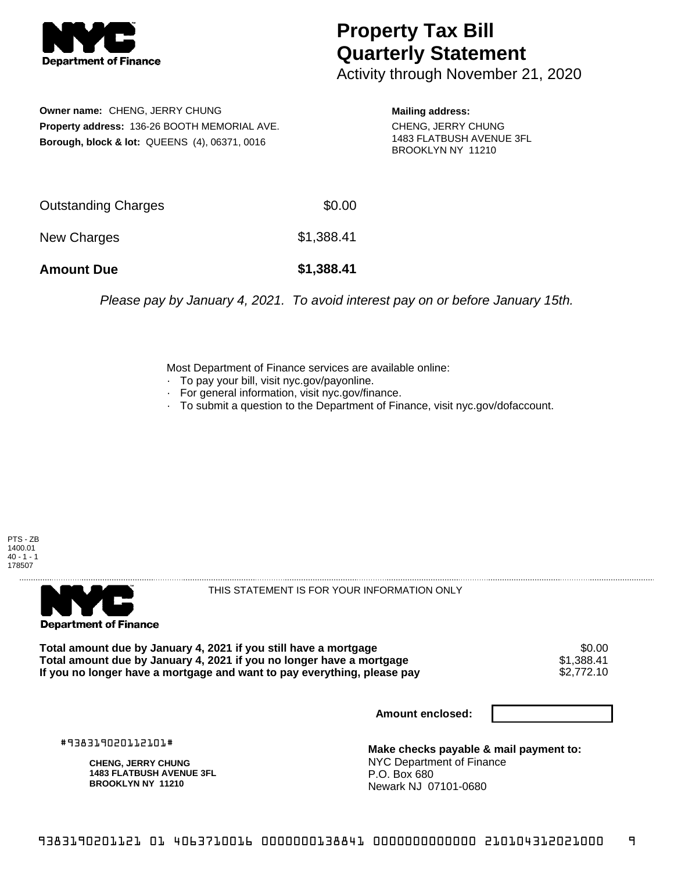

## **Property Tax Bill Quarterly Statement**

Activity through November 21, 2020

**Owner name:** CHENG, JERRY CHUNG **Property address:** 136-26 BOOTH MEMORIAL AVE. **Borough, block & lot:** QUEENS (4), 06371, 0016

**Mailing address:** CHENG, JERRY CHUNG 1483 FLATBUSH AVENUE 3FL BROOKLYN NY 11210

| <b>Amount Due</b>   | \$1,388.41 |
|---------------------|------------|
| New Charges         | \$1,388.41 |
| Outstanding Charges | \$0.00     |

Please pay by January 4, 2021. To avoid interest pay on or before January 15th.

Most Department of Finance services are available online:

- · To pay your bill, visit nyc.gov/payonline.
- For general information, visit nyc.gov/finance.
- · To submit a question to the Department of Finance, visit nyc.gov/dofaccount.





THIS STATEMENT IS FOR YOUR INFORMATION ONLY

Total amount due by January 4, 2021 if you still have a mortgage \$0.00<br>Total amount due by January 4, 2021 if you no longer have a mortgage \$1.388.41 **Total amount due by January 4, 2021 if you no longer have a mortgage**  $$1,388.41$ **<br>If you no longer have a mortgage and want to pay everything, please pay**  $$2,772.10$ If you no longer have a mortgage and want to pay everything, please pay

**Amount enclosed:**

#938319020112101#

**CHENG, JERRY CHUNG 1483 FLATBUSH AVENUE 3FL BROOKLYN NY 11210**

**Make checks payable & mail payment to:** NYC Department of Finance P.O. Box 680 Newark NJ 07101-0680